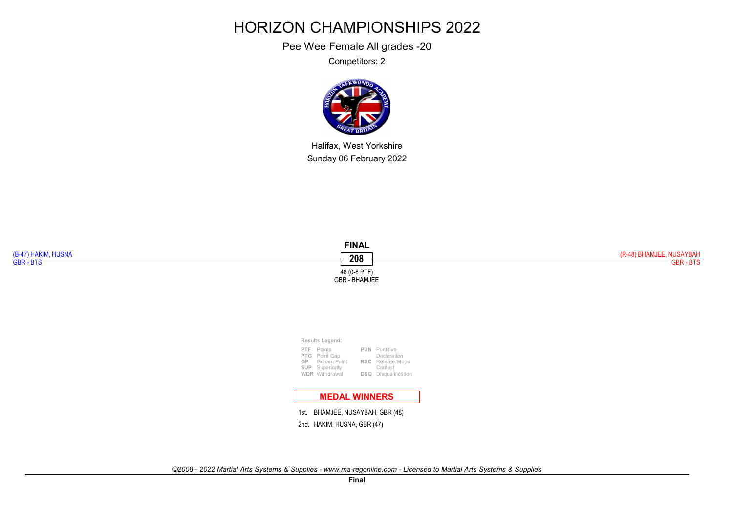Pee Wee Female All grades -20

Competitors: 2



Halifax, West Yorkshire Sunday 06 February 2022

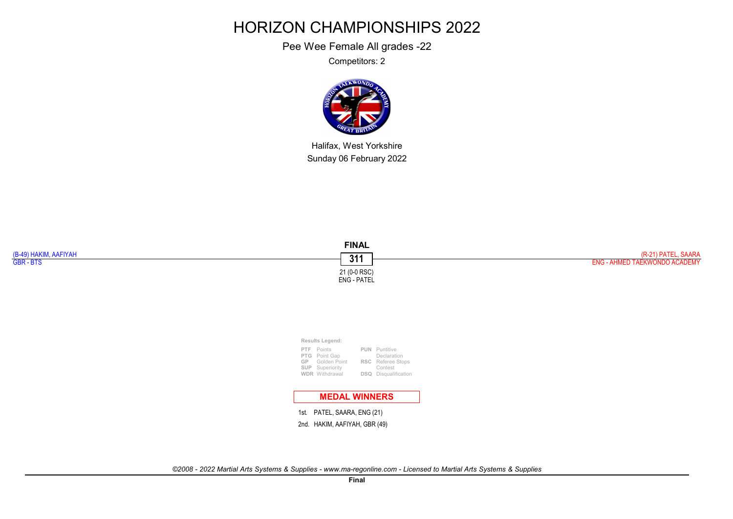Pee Wee Female All grades -22

Competitors: 2



Halifax, West Yorkshire Sunday 06 February 2022

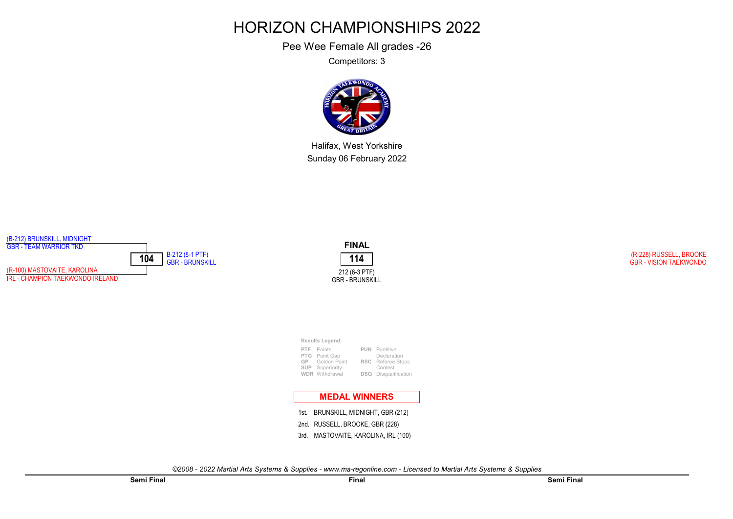Pee Wee Female All grades -26

Competitors: 3



Halifax, West Yorkshire Sunday 06 February 2022

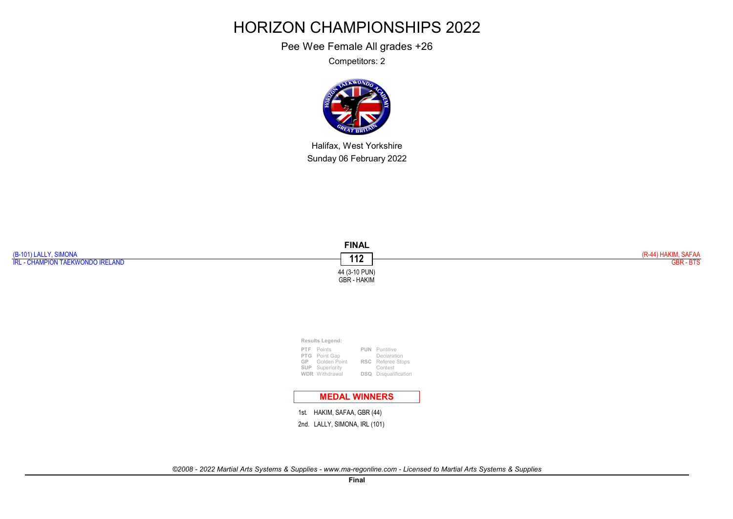Pee Wee Female All grades +26

Competitors: 2



Halifax, West Yorkshire Sunday 06 February 2022

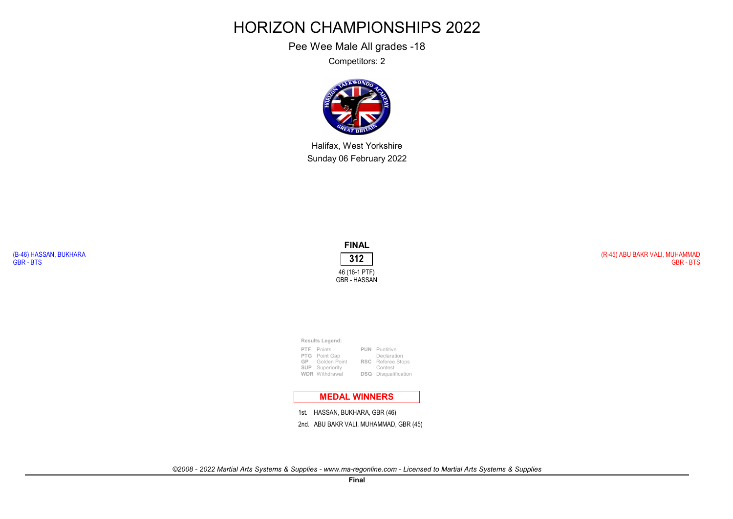Pee Wee Male All grades -18

Competitors: 2



Halifax, West Yorkshire Sunday 06 February 2022

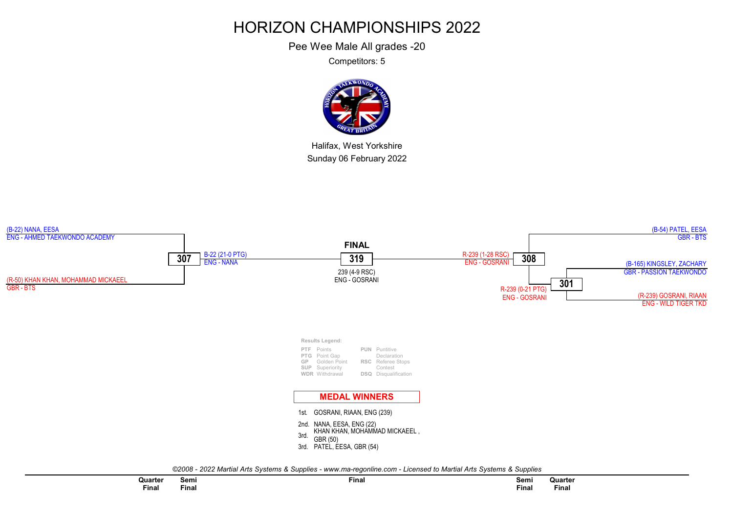Pee Wee Male All grades -20

Competitors: 5



Halifax, West Yorkshire Sunday 06 February 2022

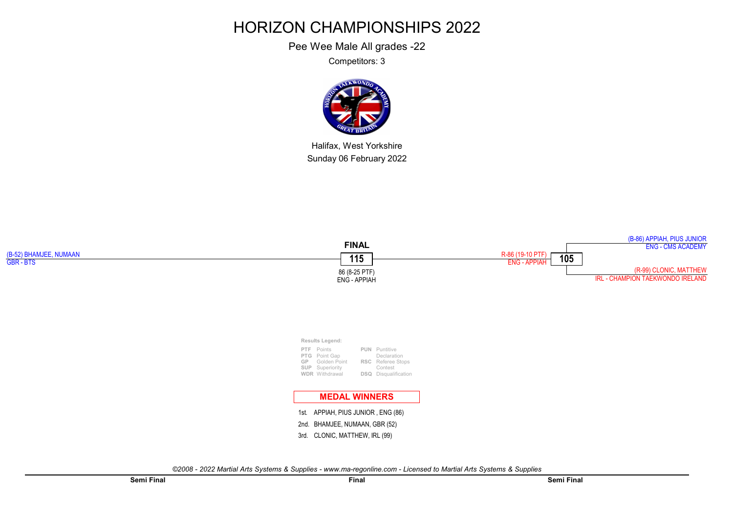Pee Wee Male All grades -22

Competitors: 3



Halifax, West Yorkshire Sunday 06 February 2022

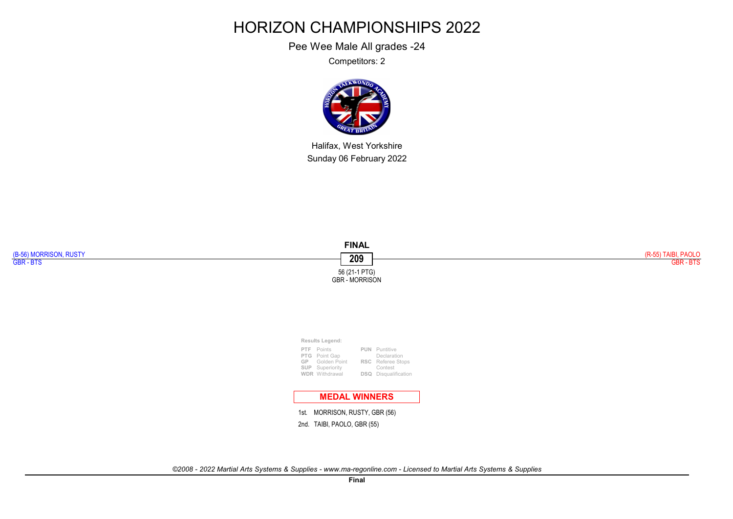Pee Wee Male All grades -24

Competitors: 2



Halifax, West Yorkshire Sunday 06 February 2022

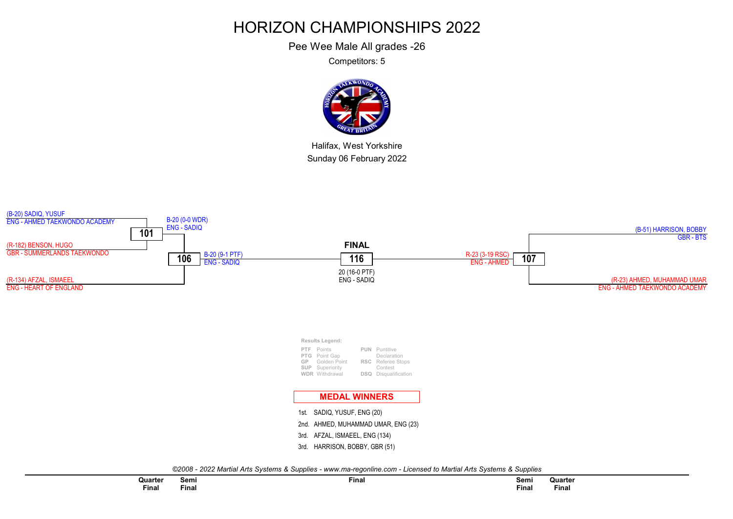Pee Wee Male All grades -26

Competitors: 5



Halifax, West Yorkshire Sunday 06 February 2022

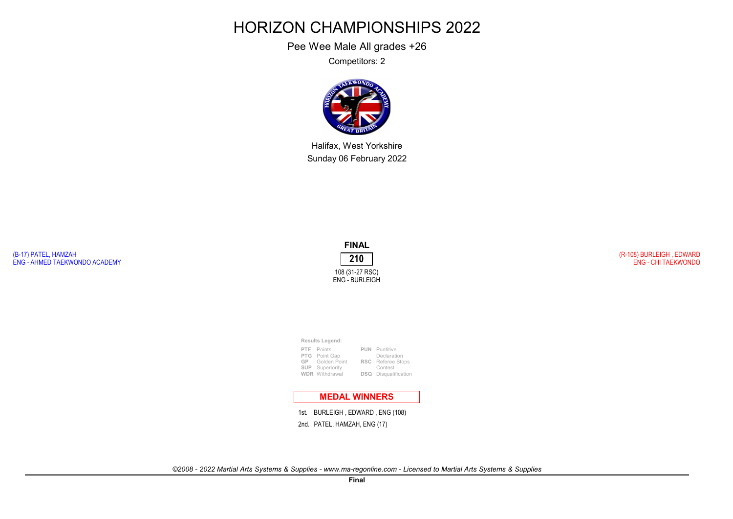Pee Wee Male All grades +26

Competitors: 2

![](_page_9_Picture_3.jpeg)

Halifax, West Yorkshire Sunday 06 February 2022

![](_page_9_Figure_5.jpeg)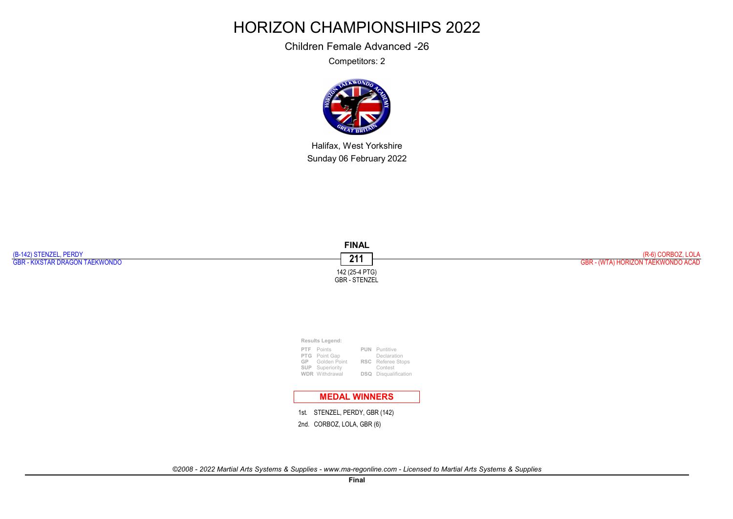Children Female Advanced -26

Competitors: 2

![](_page_10_Picture_3.jpeg)

Halifax, West Yorkshire Sunday 06 February 2022

![](_page_10_Figure_5.jpeg)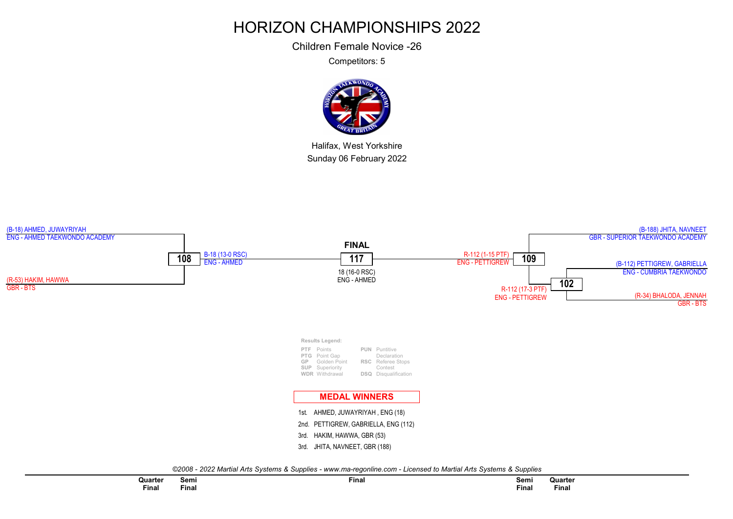Children Female Novice -26

Competitors: 5

![](_page_11_Picture_3.jpeg)

Halifax, West Yorkshire Sunday 06 February 2022

![](_page_11_Figure_5.jpeg)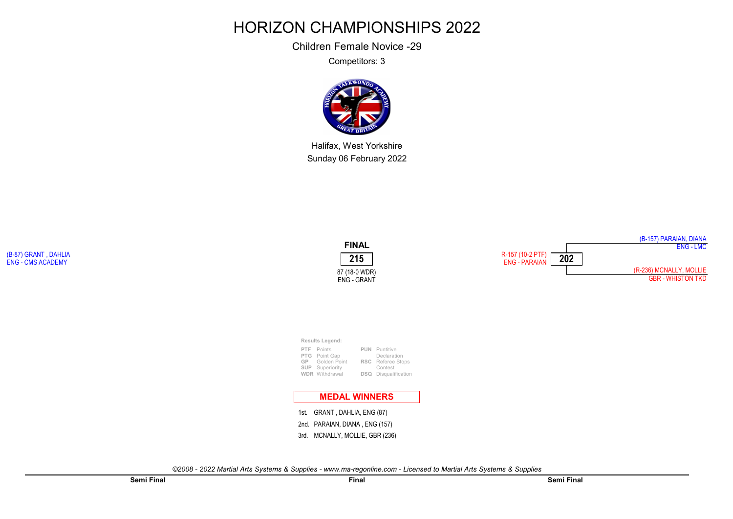Children Female Novice -29

Competitors: 3

![](_page_12_Picture_3.jpeg)

Halifax, West Yorkshire Sunday 06 February 2022

![](_page_12_Figure_5.jpeg)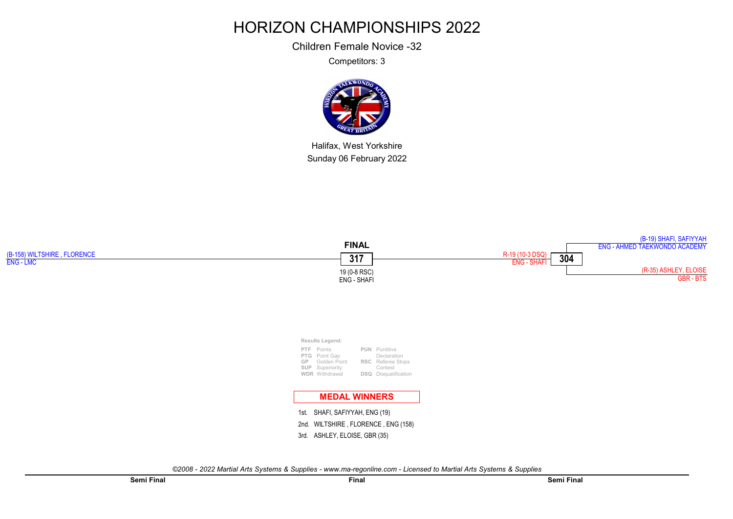Children Female Novice -32

Competitors: 3

![](_page_13_Picture_3.jpeg)

Halifax, West Yorkshire Sunday 06 February 2022

![](_page_13_Figure_5.jpeg)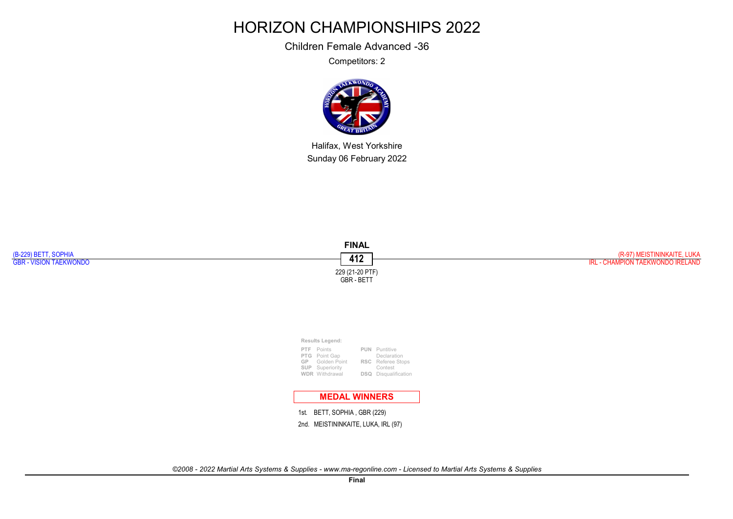Children Female Advanced -36

Competitors: 2

![](_page_14_Picture_3.jpeg)

Halifax, West Yorkshire Sunday 06 February 2022

![](_page_14_Figure_5.jpeg)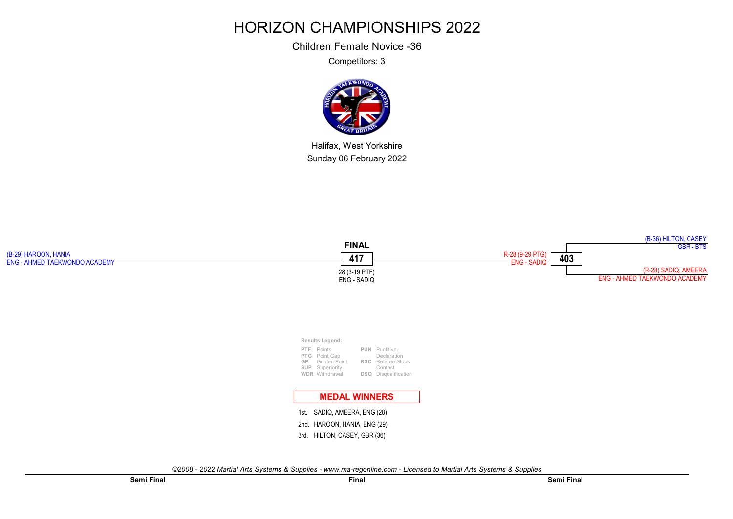Children Female Novice -36

Competitors: 3

![](_page_15_Picture_3.jpeg)

Halifax, West Yorkshire Sunday 06 February 2022

![](_page_15_Figure_5.jpeg)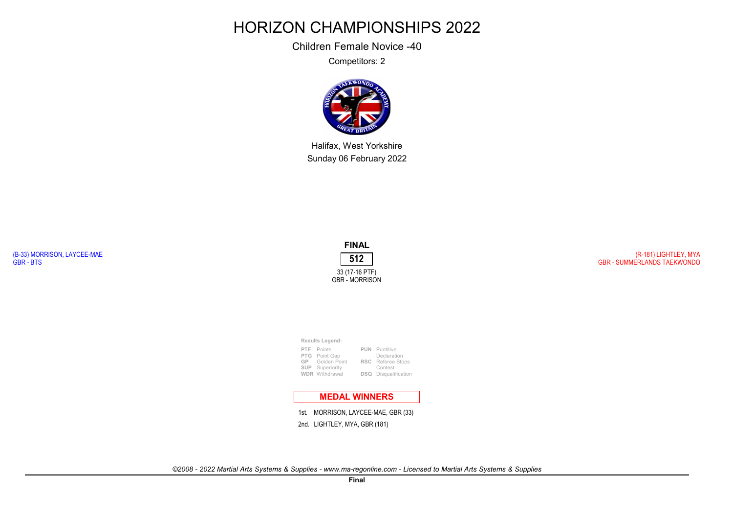Children Female Novice -40

Competitors: 2

![](_page_16_Picture_3.jpeg)

Halifax, West Yorkshire Sunday 06 February 2022

![](_page_16_Figure_5.jpeg)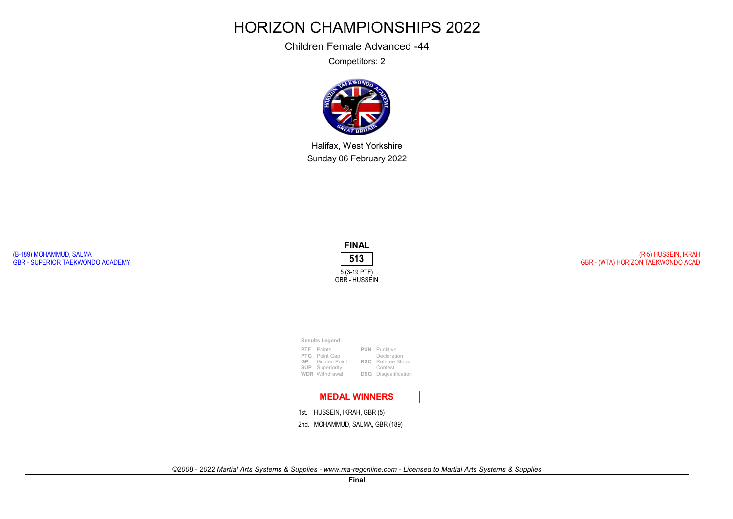Children Female Advanced -44

Competitors: 2

![](_page_17_Picture_3.jpeg)

Halifax, West Yorkshire Sunday 06 February 2022

![](_page_17_Figure_5.jpeg)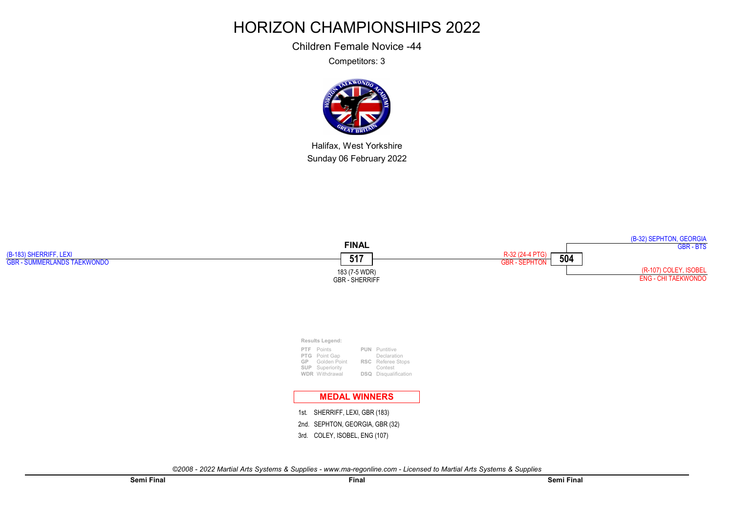Children Female Novice -44

Competitors: 3

![](_page_18_Picture_3.jpeg)

Halifax, West Yorkshire Sunday 06 February 2022

![](_page_18_Figure_5.jpeg)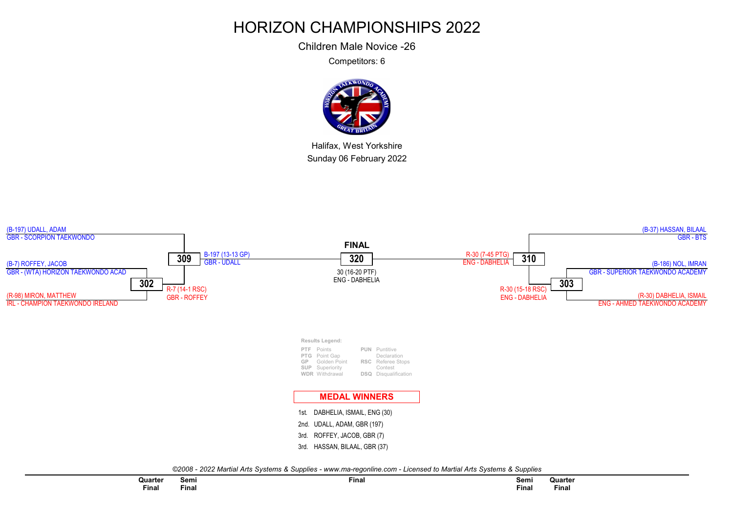Children Male Novice -26

Competitors: 6

![](_page_19_Picture_3.jpeg)

Halifax, West Yorkshire Sunday 06 February 2022

![](_page_19_Figure_5.jpeg)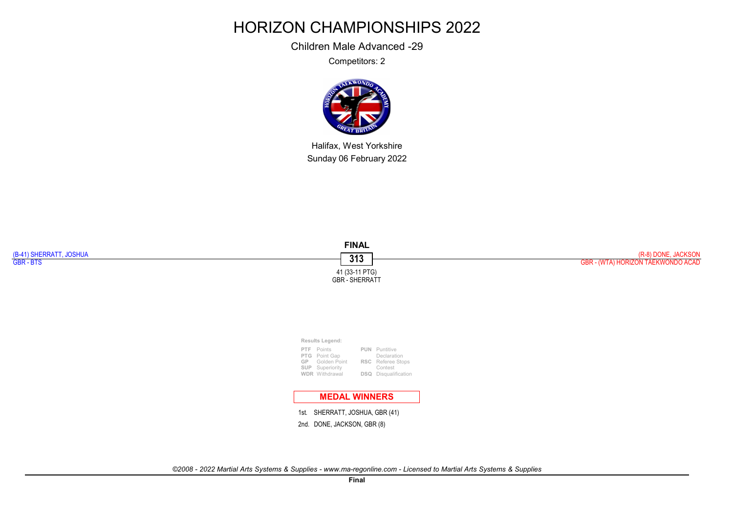Children Male Advanced -29

Competitors: 2

![](_page_20_Picture_3.jpeg)

Halifax, West Yorkshire Sunday 06 February 2022

![](_page_20_Figure_5.jpeg)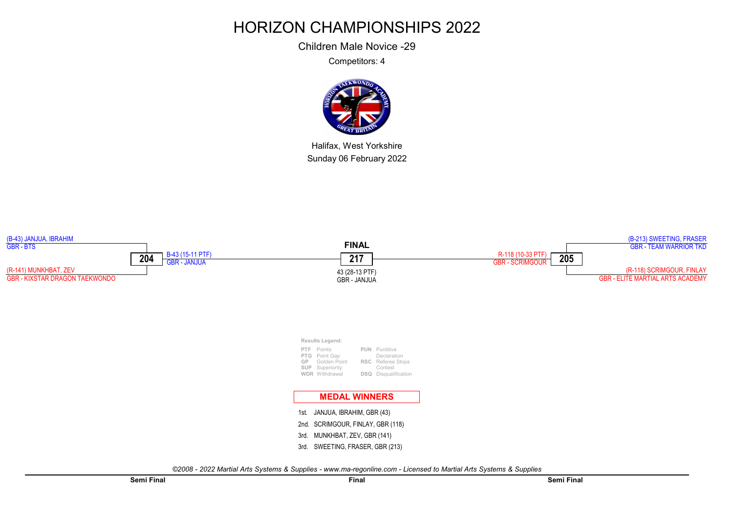Children Male Novice -29

Competitors: 4

![](_page_21_Picture_3.jpeg)

Halifax, West Yorkshire Sunday 06 February 2022

![](_page_21_Figure_5.jpeg)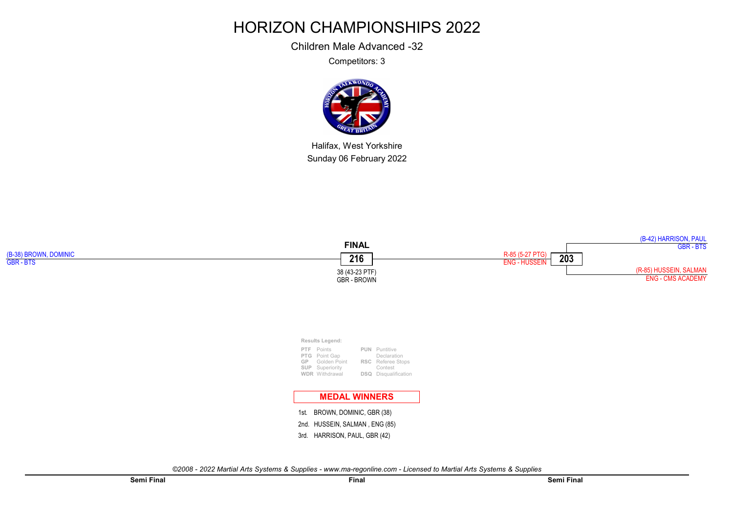Children Male Advanced -32

Competitors: 3

![](_page_22_Picture_3.jpeg)

Halifax, West Yorkshire Sunday 06 February 2022

![](_page_22_Figure_5.jpeg)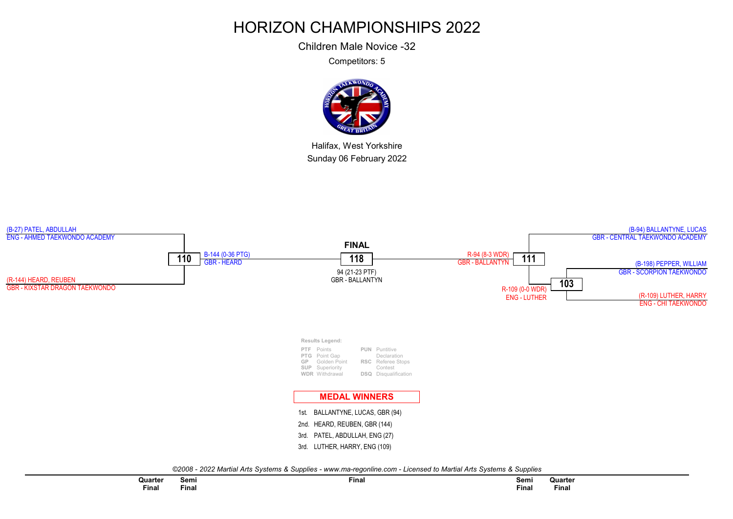Children Male Novice -32

Competitors: 5

![](_page_23_Picture_3.jpeg)

Halifax, West Yorkshire Sunday 06 February 2022

![](_page_23_Figure_5.jpeg)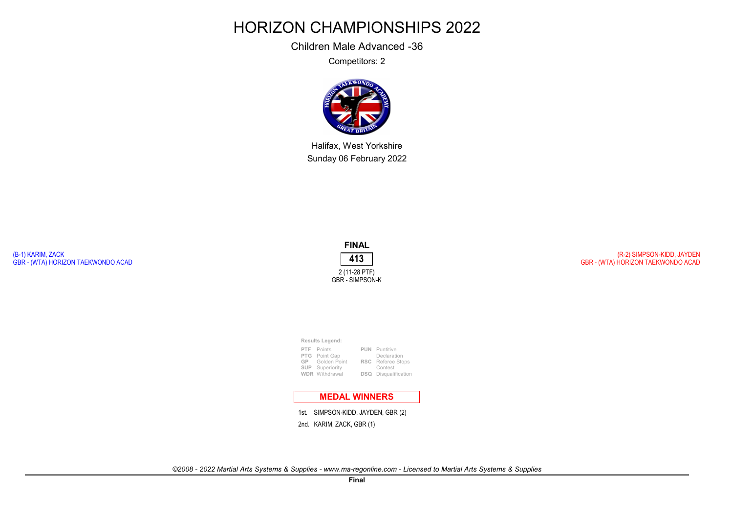Children Male Advanced -36

Competitors: 2

![](_page_24_Picture_3.jpeg)

Halifax, West Yorkshire Sunday 06 February 2022

![](_page_24_Figure_5.jpeg)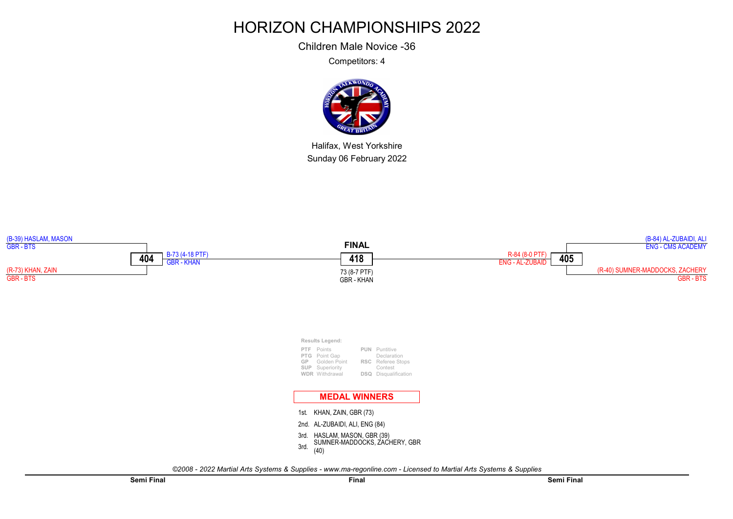Children Male Novice -36

Competitors: 4

![](_page_25_Picture_3.jpeg)

Halifax, West Yorkshire Sunday 06 February 2022

![](_page_25_Figure_5.jpeg)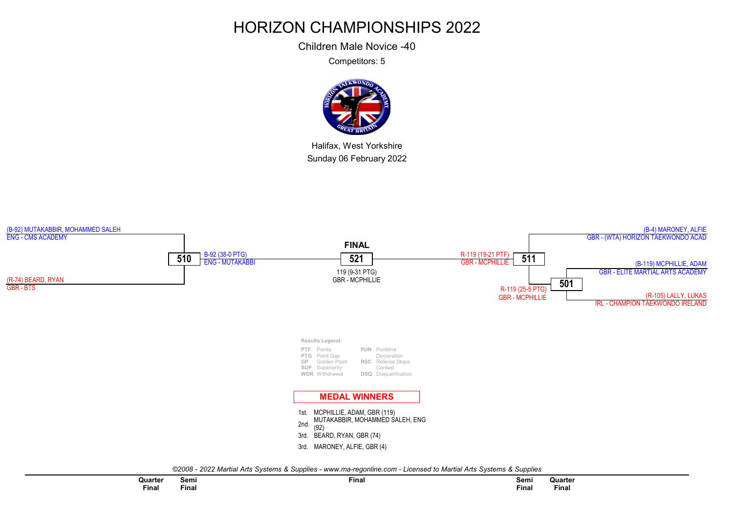Children Male Novice -40

Competitors: 5

![](_page_26_Picture_3.jpeg)

Halifax, West Yorkshire Sunday 06 February 2022

![](_page_26_Figure_5.jpeg)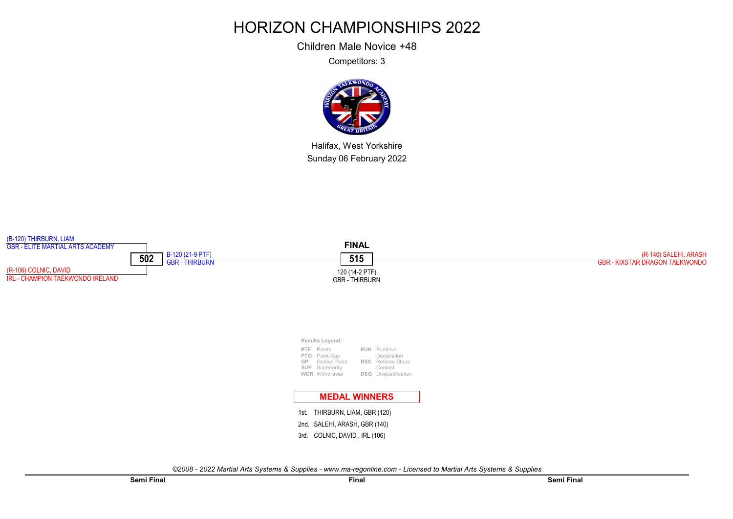Children Male Novice +48

Competitors: 3

![](_page_27_Picture_3.jpeg)

Halifax, West Yorkshire Sunday 06 February 2022

![](_page_27_Figure_5.jpeg)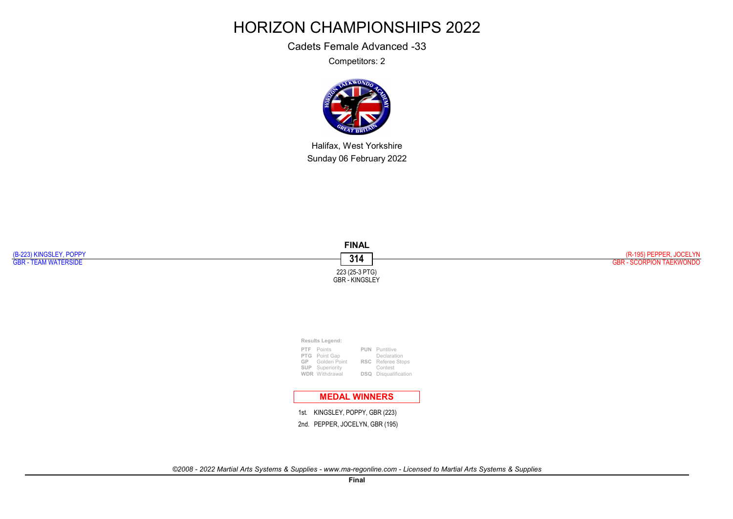Cadets Female Advanced -33

Competitors: 2

![](_page_28_Picture_3.jpeg)

Halifax, West Yorkshire Sunday 06 February 2022

![](_page_28_Figure_5.jpeg)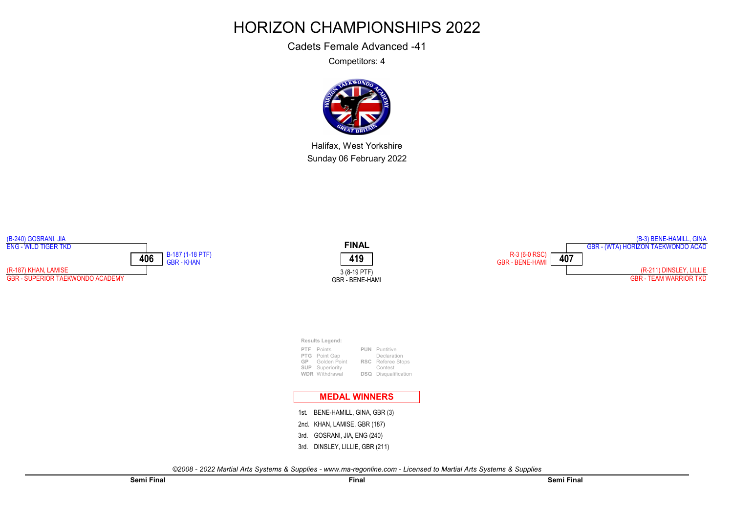Cadets Female Advanced -41

Competitors: 4

![](_page_29_Picture_3.jpeg)

Halifax, West Yorkshire Sunday 06 February 2022

![](_page_29_Figure_5.jpeg)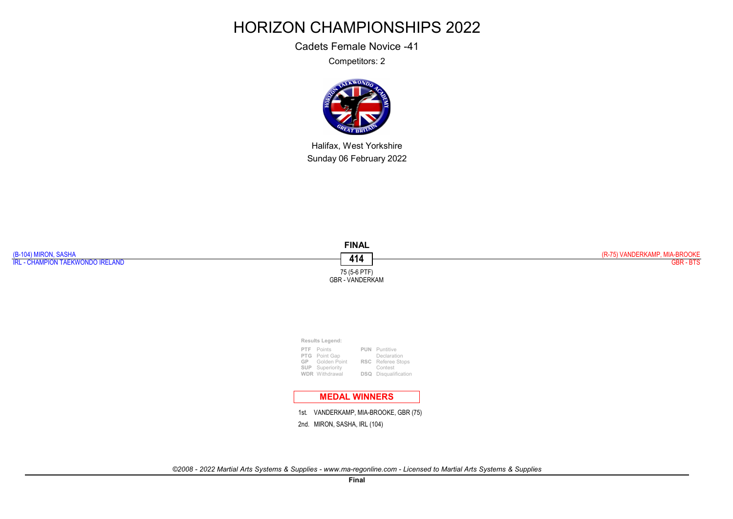Cadets Female Novice -41

Competitors: 2

![](_page_30_Picture_3.jpeg)

Halifax, West Yorkshire Sunday 06 February 2022

![](_page_30_Figure_5.jpeg)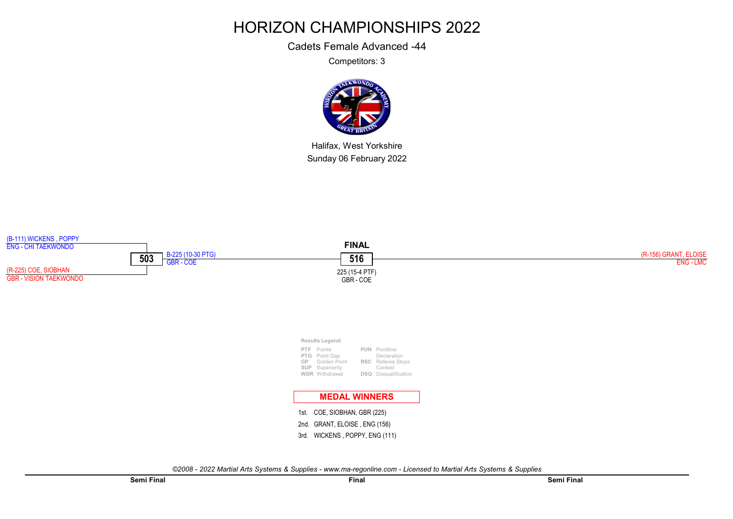Cadets Female Advanced -44

Competitors: 3

![](_page_31_Picture_3.jpeg)

Halifax, West Yorkshire Sunday 06 February 2022

![](_page_31_Figure_5.jpeg)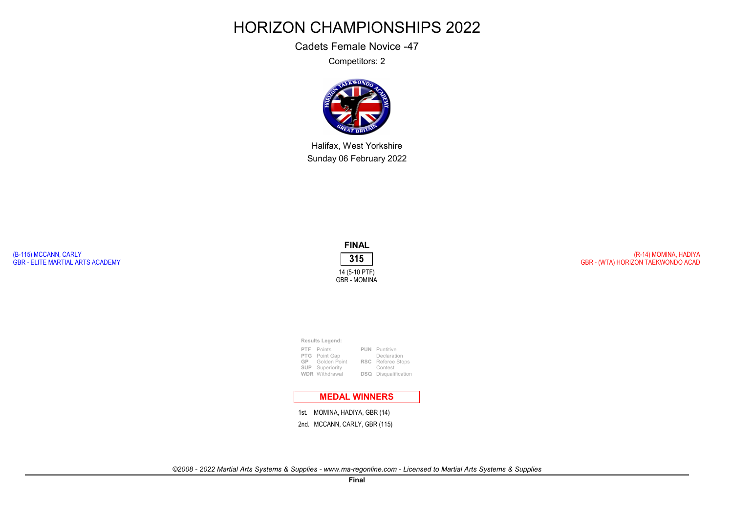Cadets Female Novice -47

Competitors: 2

![](_page_32_Picture_3.jpeg)

Halifax, West Yorkshire Sunday 06 February 2022

![](_page_32_Figure_5.jpeg)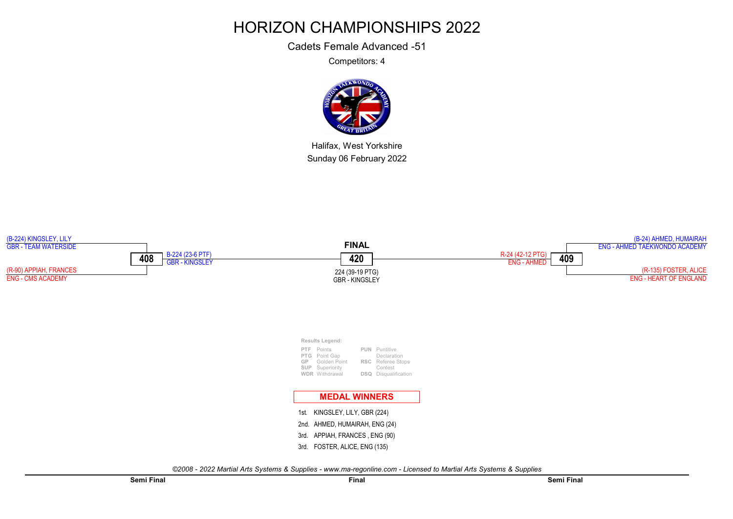Cadets Female Advanced -51

Competitors: 4

![](_page_33_Picture_3.jpeg)

Halifax, West Yorkshire Sunday 06 February 2022

![](_page_33_Figure_5.jpeg)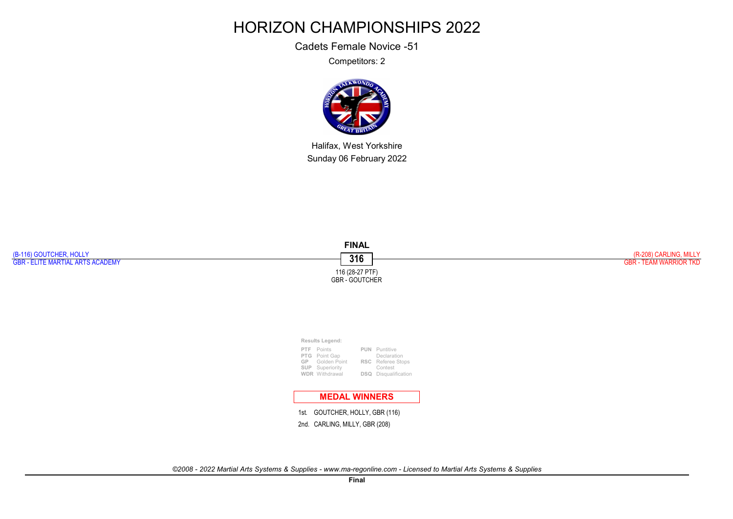Cadets Female Novice -51

Competitors: 2

![](_page_34_Picture_3.jpeg)

Halifax, West Yorkshire Sunday 06 February 2022

![](_page_34_Figure_5.jpeg)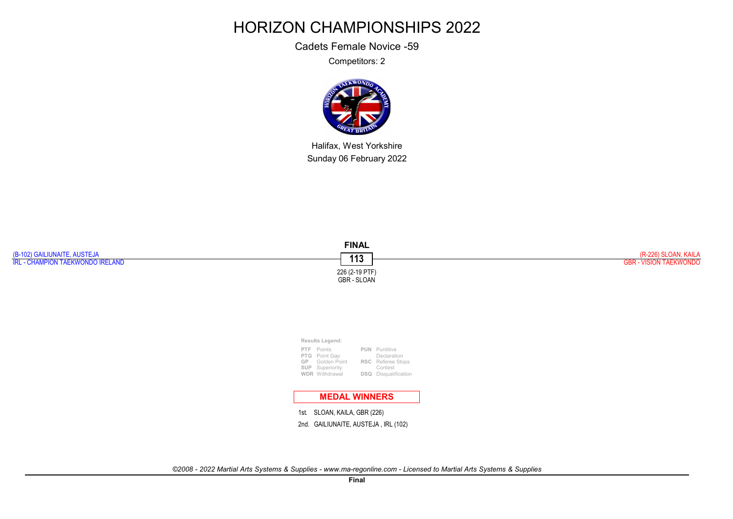Cadets Female Novice -59

Competitors: 2

![](_page_35_Picture_3.jpeg)

Halifax, West Yorkshire Sunday 06 February 2022

![](_page_35_Figure_5.jpeg)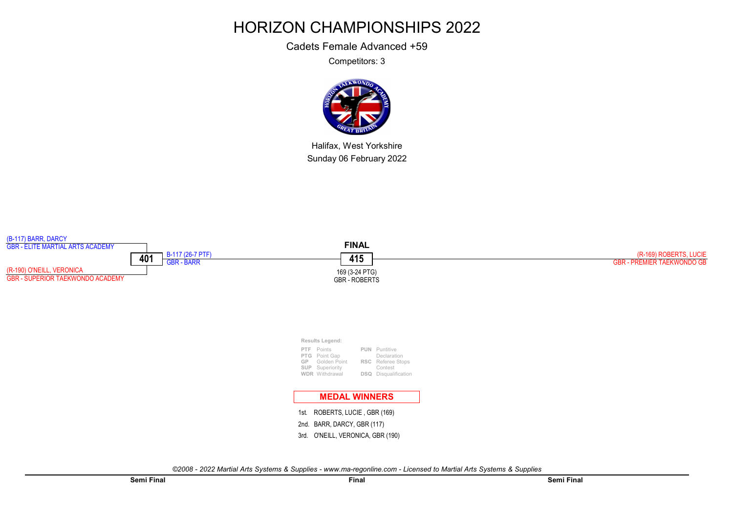Cadets Female Advanced +59

Competitors: 3

![](_page_36_Picture_3.jpeg)

Halifax, West Yorkshire Sunday 06 February 2022

![](_page_36_Figure_5.jpeg)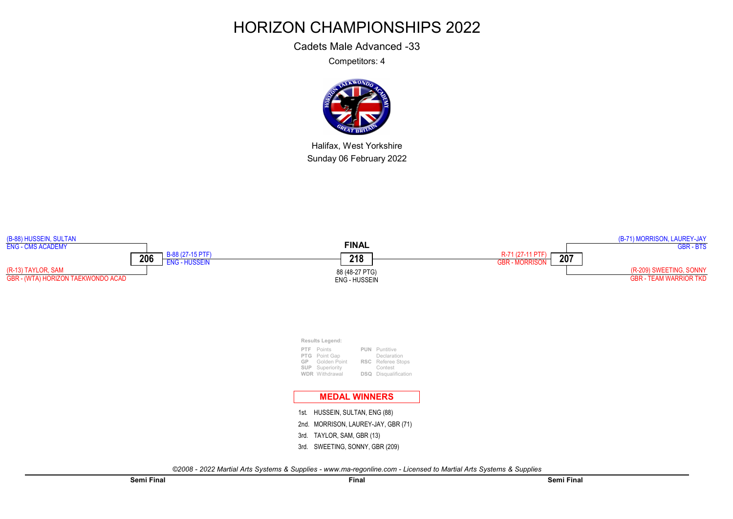Cadets Male Advanced -33

Competitors: 4

![](_page_37_Picture_3.jpeg)

Halifax, West Yorkshire Sunday 06 February 2022

![](_page_37_Figure_5.jpeg)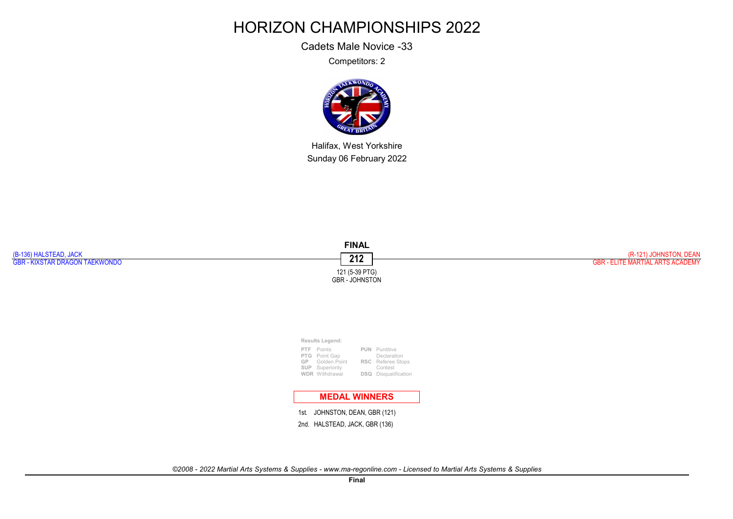Cadets Male Novice -33

Competitors: 2

![](_page_38_Picture_3.jpeg)

Halifax, West Yorkshire Sunday 06 February 2022

![](_page_38_Figure_5.jpeg)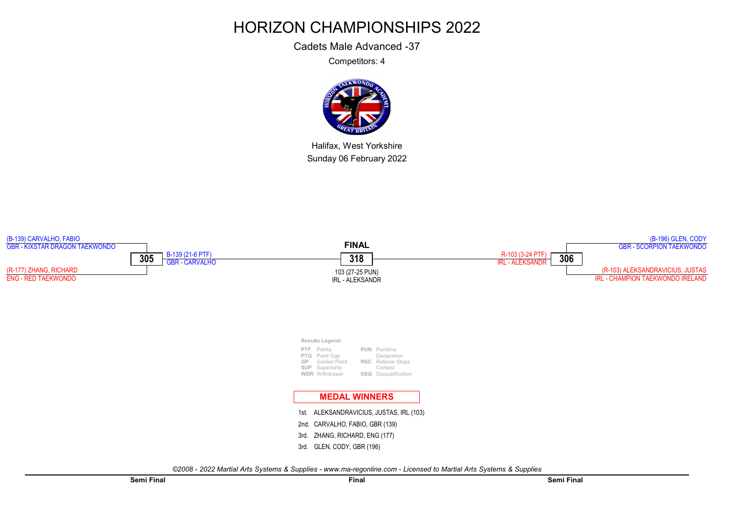Cadets Male Advanced -37

Competitors: 4

![](_page_39_Picture_3.jpeg)

Halifax, West Yorkshire Sunday 06 February 2022

![](_page_39_Figure_5.jpeg)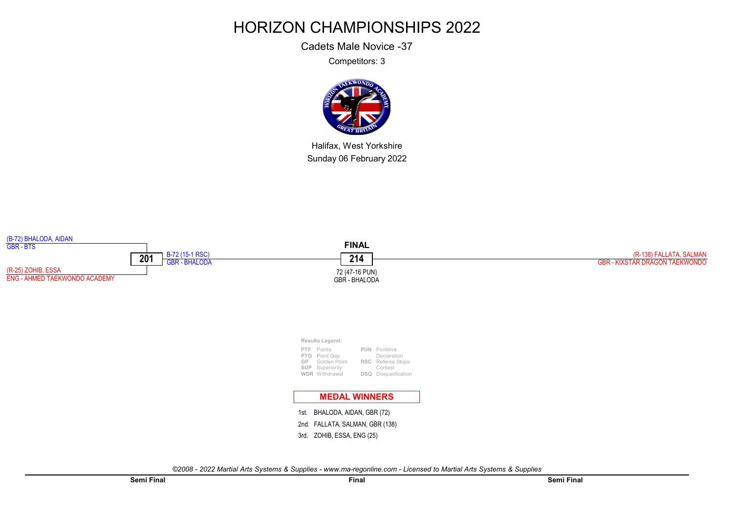Cadets Male Novice -37

Competitors: 3

![](_page_40_Picture_3.jpeg)

Halifax, West Yorkshire Sunday 06 February 2022

![](_page_40_Figure_5.jpeg)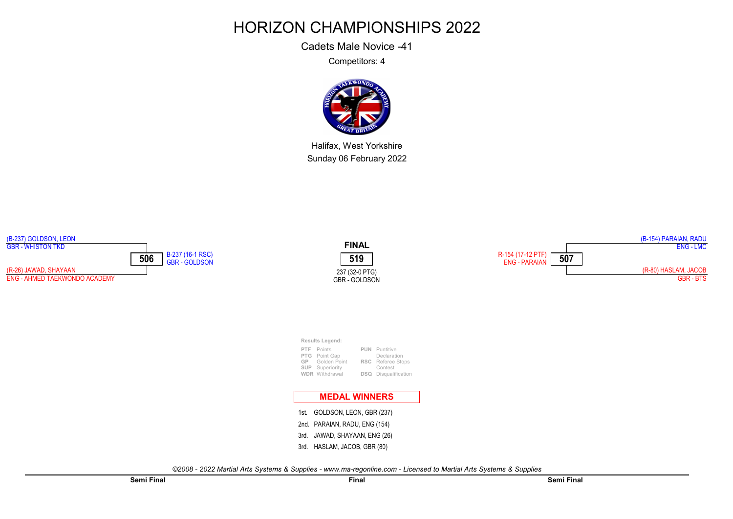Cadets Male Novice -41

Competitors: 4

![](_page_41_Picture_3.jpeg)

Halifax, West Yorkshire Sunday 06 February 2022

![](_page_41_Figure_5.jpeg)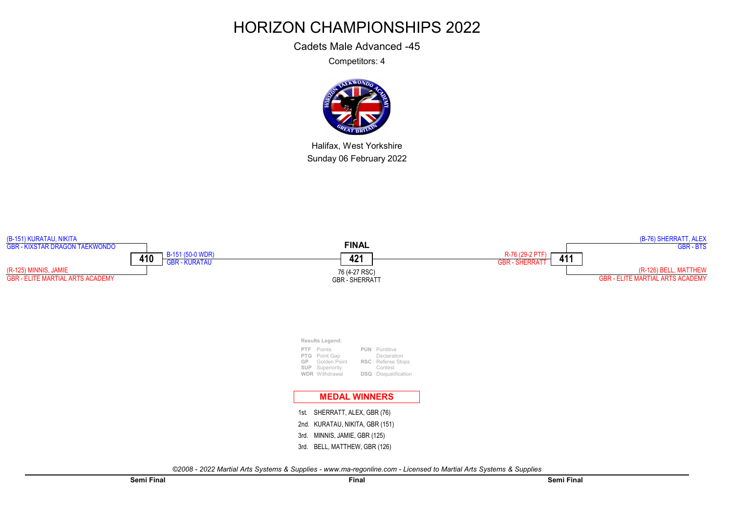Cadets Male Advanced -45

Competitors: 4

![](_page_42_Picture_3.jpeg)

Halifax, West Yorkshire Sunday 06 February 2022

![](_page_42_Figure_5.jpeg)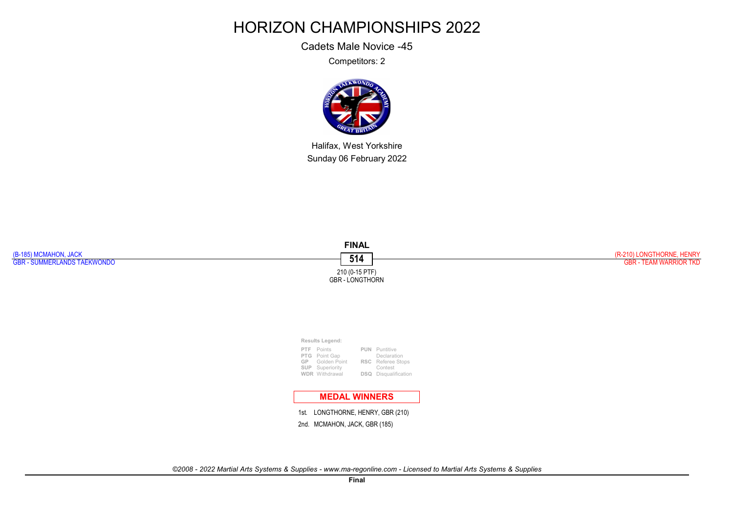Cadets Male Novice -45

Competitors: 2

![](_page_43_Picture_3.jpeg)

Halifax, West Yorkshire Sunday 06 February 2022

![](_page_43_Figure_5.jpeg)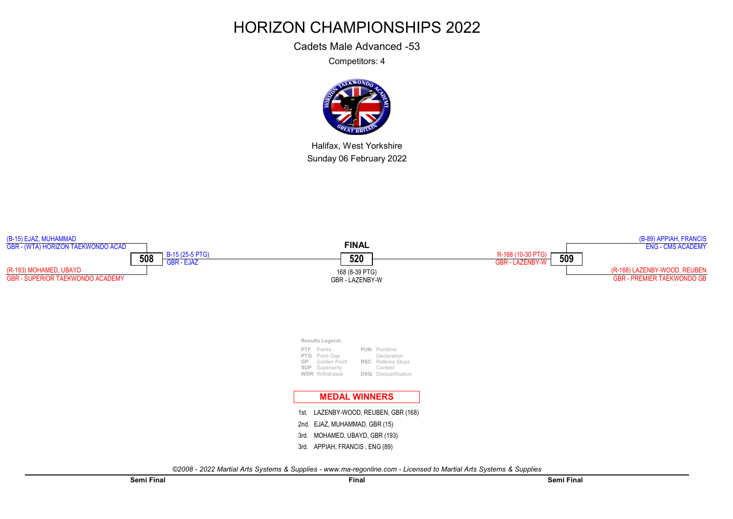Cadets Male Advanced -53

Competitors: 4

![](_page_44_Picture_3.jpeg)

Halifax, West Yorkshire Sunday 06 February 2022

![](_page_44_Figure_5.jpeg)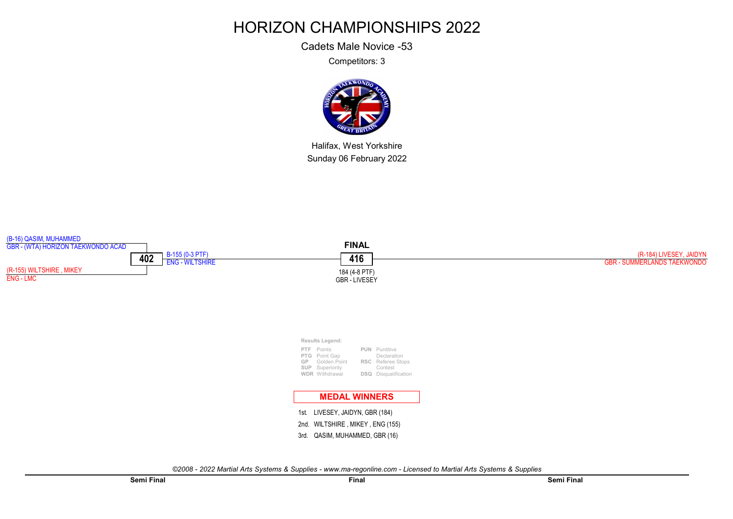Cadets Male Novice -53

Competitors: 3

![](_page_45_Picture_3.jpeg)

Halifax, West Yorkshire Sunday 06 February 2022

![](_page_45_Figure_5.jpeg)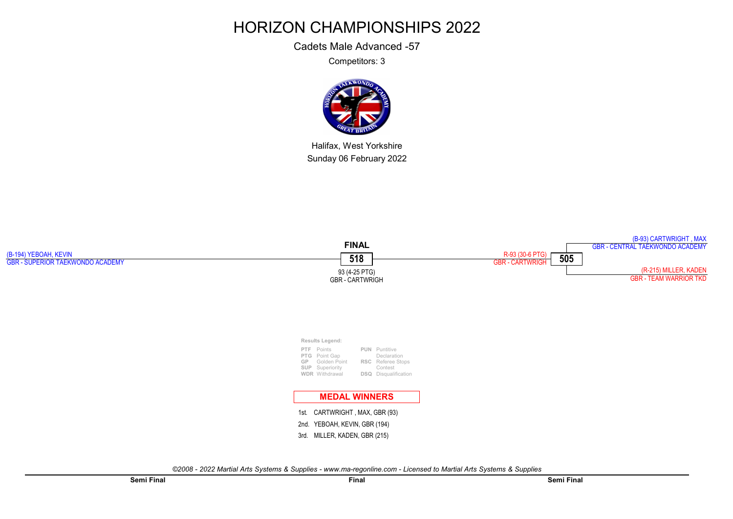Cadets Male Advanced -57

Competitors: 3

![](_page_46_Picture_3.jpeg)

Halifax, West Yorkshire Sunday 06 February 2022

![](_page_46_Figure_5.jpeg)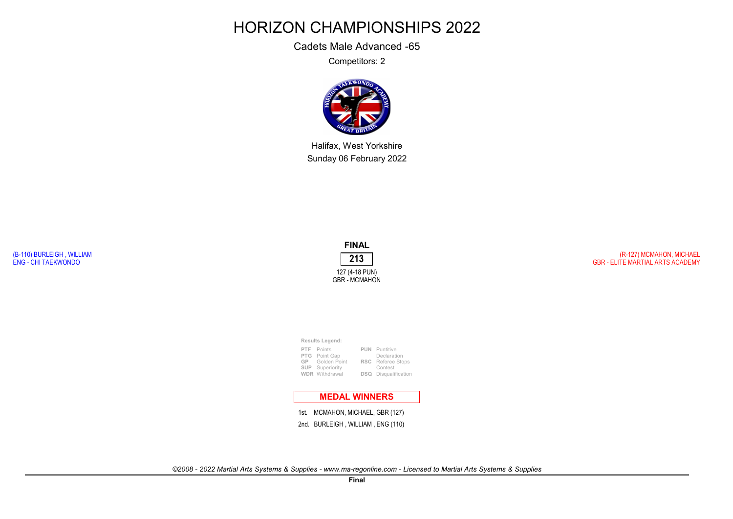Cadets Male Advanced -65

Competitors: 2

![](_page_47_Picture_3.jpeg)

Halifax, West Yorkshire Sunday 06 February 2022

![](_page_47_Figure_5.jpeg)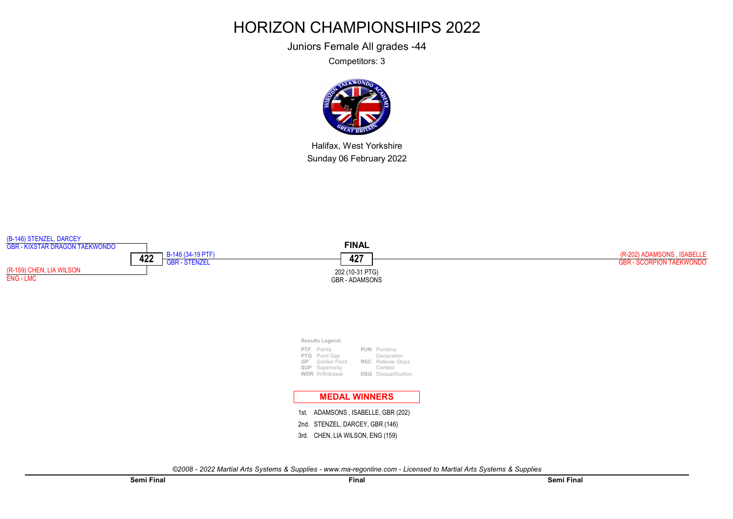Juniors Female All grades -44

Competitors: 3

![](_page_48_Picture_3.jpeg)

Halifax, West Yorkshire Sunday 06 February 2022

![](_page_48_Figure_5.jpeg)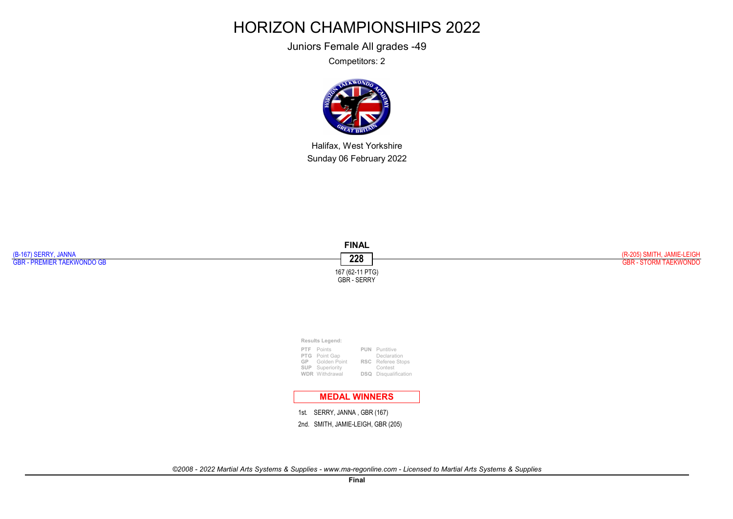Juniors Female All grades -49

Competitors: 2

![](_page_49_Picture_3.jpeg)

Halifax, West Yorkshire Sunday 06 February 2022

![](_page_49_Figure_5.jpeg)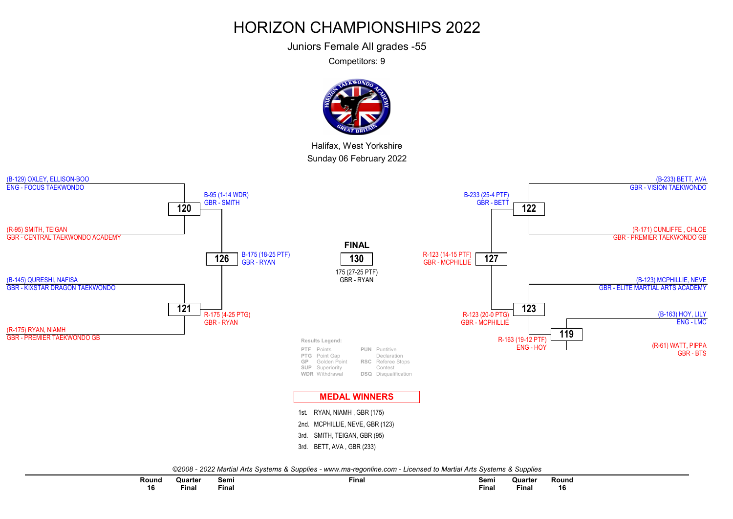Juniors Female All grades -55

Competitors: 9

![](_page_50_Picture_3.jpeg)

Halifax, West Yorkshire Sunday 06 February 2022

![](_page_50_Figure_5.jpeg)

| -<br>Rounc   | Quarter | Semi<br>___ | --<br>Semi<br>∶inal |       | Quarter | Round |
|--------------|---------|-------------|---------------------|-------|---------|-------|
| 16<br>$\sim$ | Final   | Final       | Final               | Fina. |         | 16    |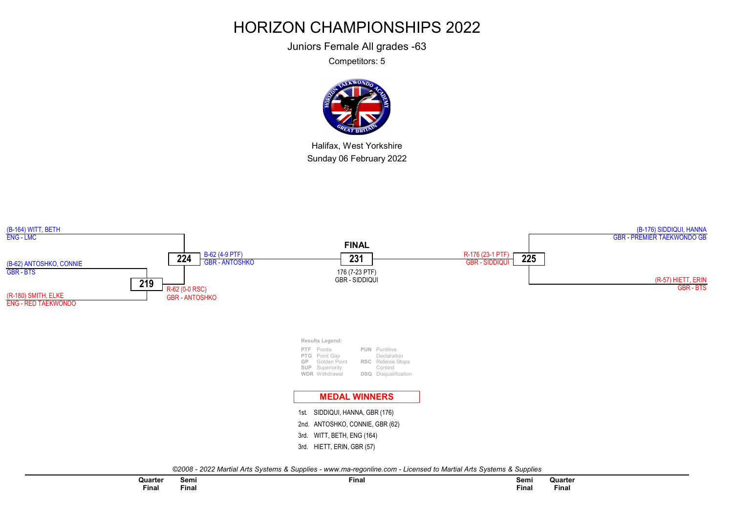Juniors Female All grades -63

Competitors: 5

![](_page_51_Picture_3.jpeg)

Halifax, West Yorkshire Sunday 06 February 2022

![](_page_51_Figure_5.jpeg)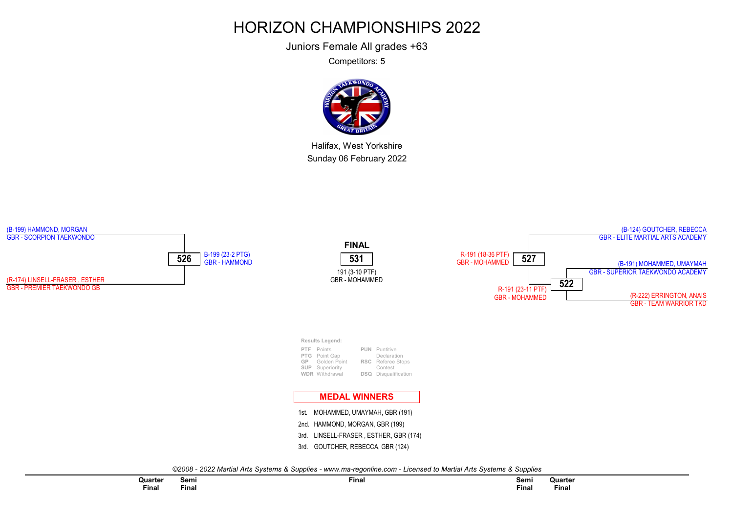Juniors Female All grades +63

Competitors: 5

![](_page_52_Picture_3.jpeg)

Halifax, West Yorkshire Sunday 06 February 2022

![](_page_52_Figure_5.jpeg)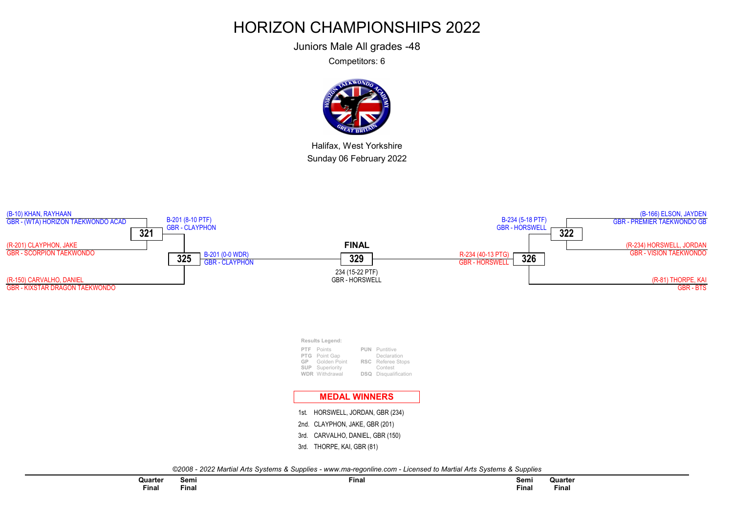Juniors Male All grades -48

Competitors: 6

![](_page_53_Picture_3.jpeg)

Halifax, West Yorkshire Sunday 06 February 2022

![](_page_53_Figure_5.jpeg)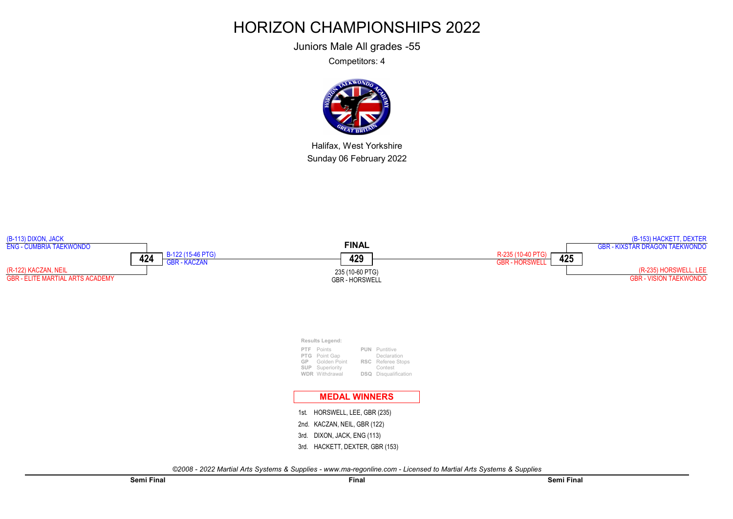Juniors Male All grades -55

Competitors: 4

![](_page_54_Picture_3.jpeg)

Halifax, West Yorkshire Sunday 06 February 2022

![](_page_54_Figure_5.jpeg)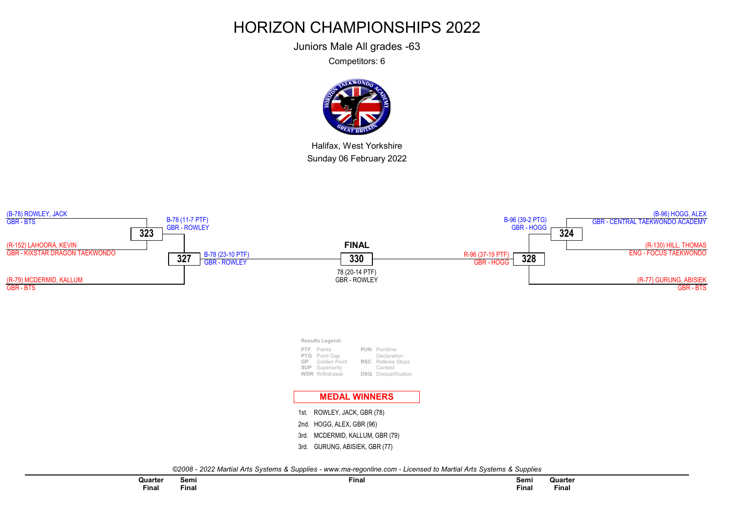Juniors Male All grades -63

Competitors: 6

![](_page_55_Picture_3.jpeg)

Halifax, West Yorkshire Sunday 06 February 2022

![](_page_55_Figure_5.jpeg)

©2008 - 2022 Martial Arts Systems & Supplies - www.ma-regonline.com - Licensed to Martial Arts Systems & Supplies

**Quarter** Final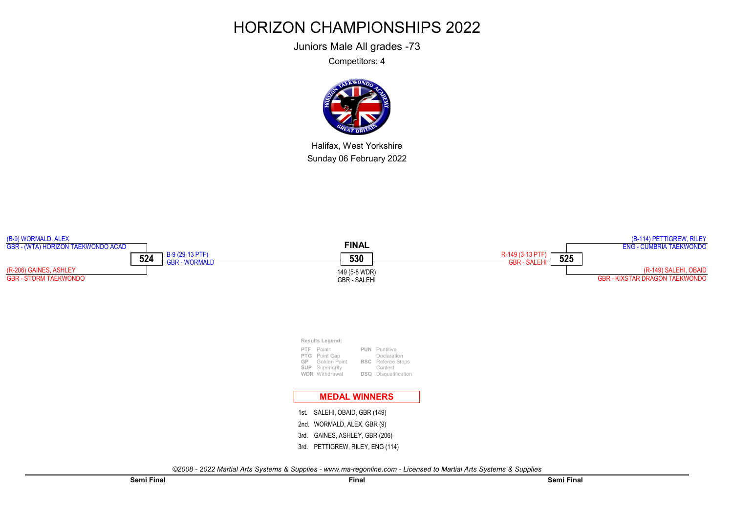Juniors Male All grades -73

Competitors: 4

![](_page_56_Picture_3.jpeg)

Halifax, West Yorkshire Sunday 06 February 2022

![](_page_56_Figure_5.jpeg)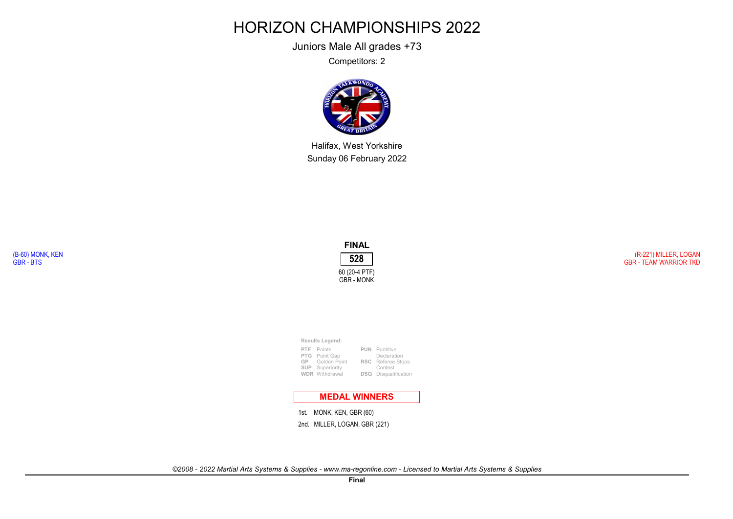Juniors Male All grades +73

Competitors: 2

![](_page_57_Picture_3.jpeg)

Halifax, West Yorkshire Sunday 06 February 2022

![](_page_57_Figure_5.jpeg)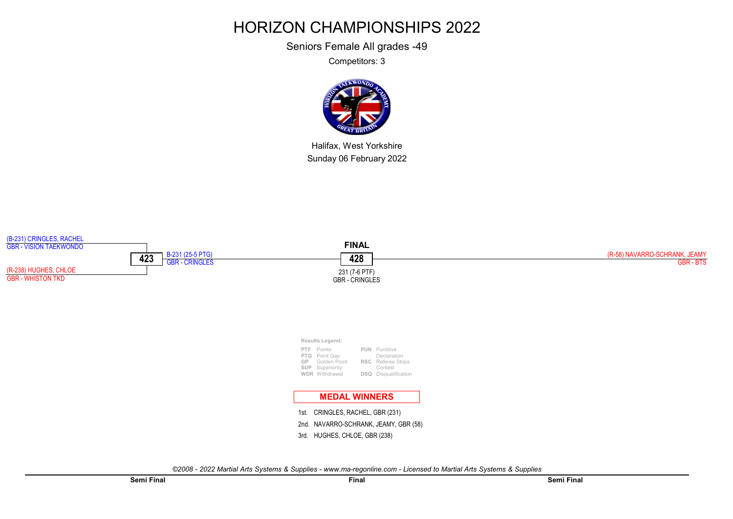Seniors Female All grades -49

Competitors: 3

![](_page_58_Picture_3.jpeg)

Halifax, West Yorkshire Sunday 06 February 2022

![](_page_58_Figure_5.jpeg)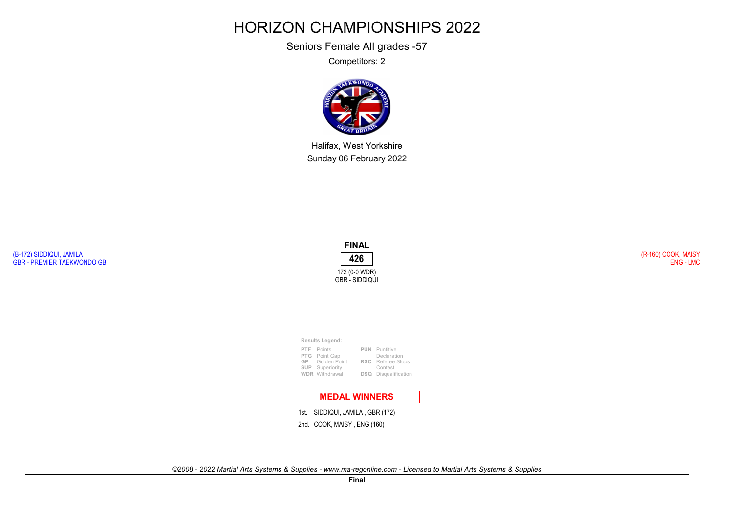Seniors Female All grades -57

Competitors: 2

![](_page_59_Picture_3.jpeg)

Halifax, West Yorkshire Sunday 06 February 2022

![](_page_59_Figure_5.jpeg)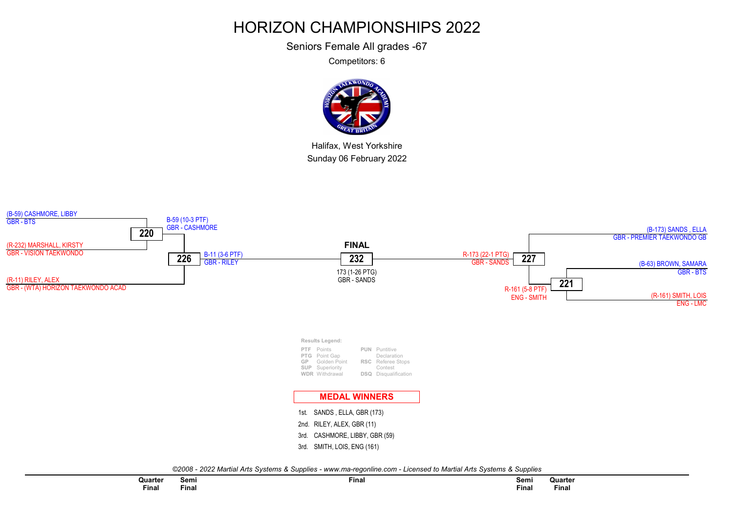Seniors Female All grades -67

Competitors: 6

![](_page_60_Picture_3.jpeg)

Halifax, West Yorkshire Sunday 06 February 2022

![](_page_60_Figure_5.jpeg)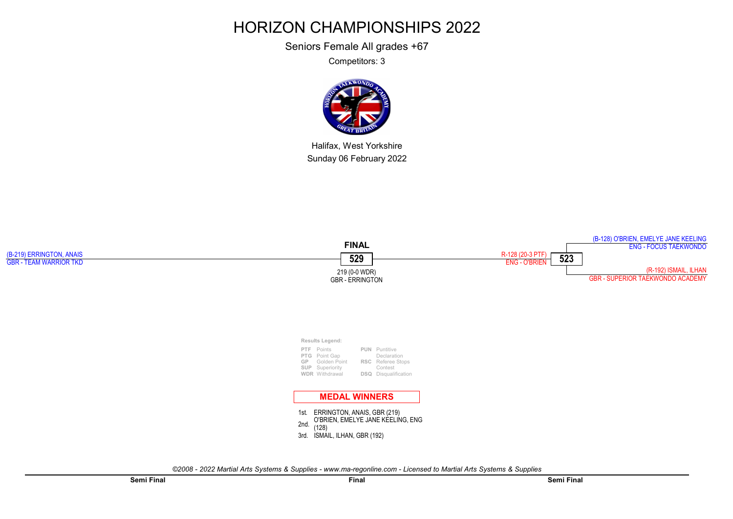Seniors Female All grades +67

Competitors: 3

![](_page_61_Picture_3.jpeg)

Halifax, West Yorkshire Sunday 06 February 2022

![](_page_61_Figure_5.jpeg)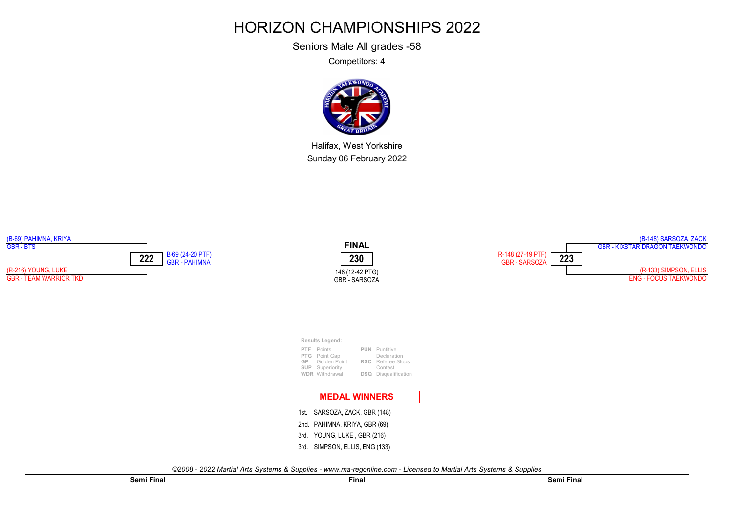Seniors Male All grades -58

Competitors: 4

![](_page_62_Picture_3.jpeg)

Halifax, West Yorkshire Sunday 06 February 2022

![](_page_62_Figure_5.jpeg)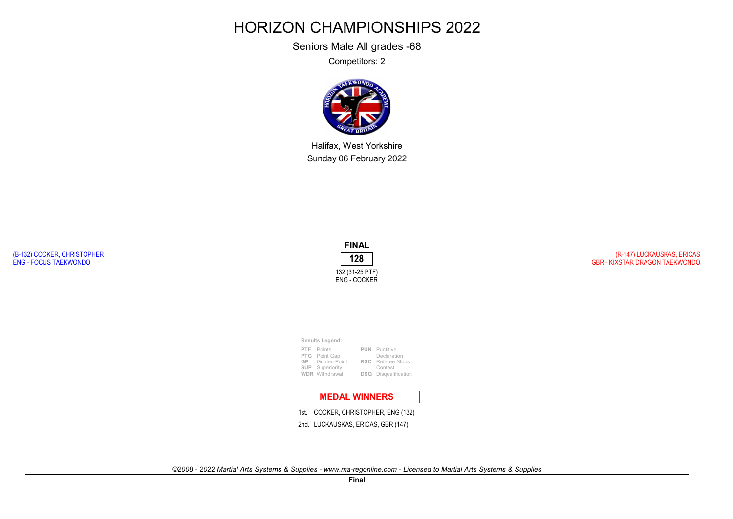Seniors Male All grades -68

Competitors: 2

![](_page_63_Picture_3.jpeg)

Halifax, West Yorkshire Sunday 06 February 2022

![](_page_63_Figure_5.jpeg)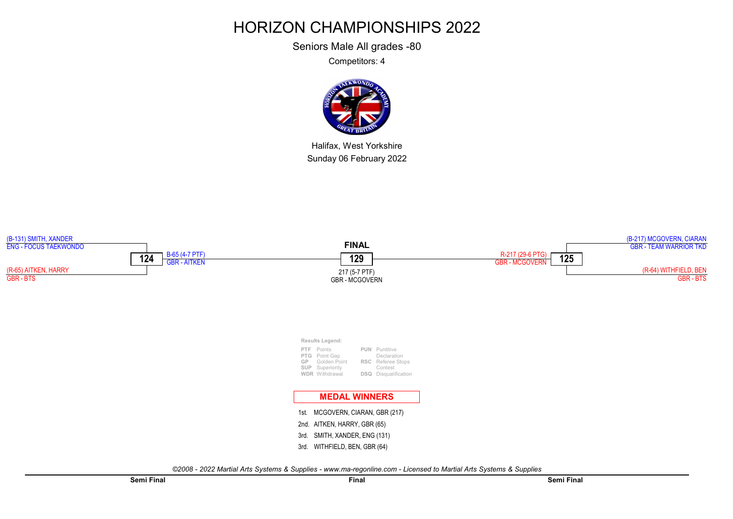Seniors Male All grades -80

Competitors: 4

![](_page_64_Picture_3.jpeg)

Halifax, West Yorkshire Sunday 06 February 2022

![](_page_64_Figure_5.jpeg)